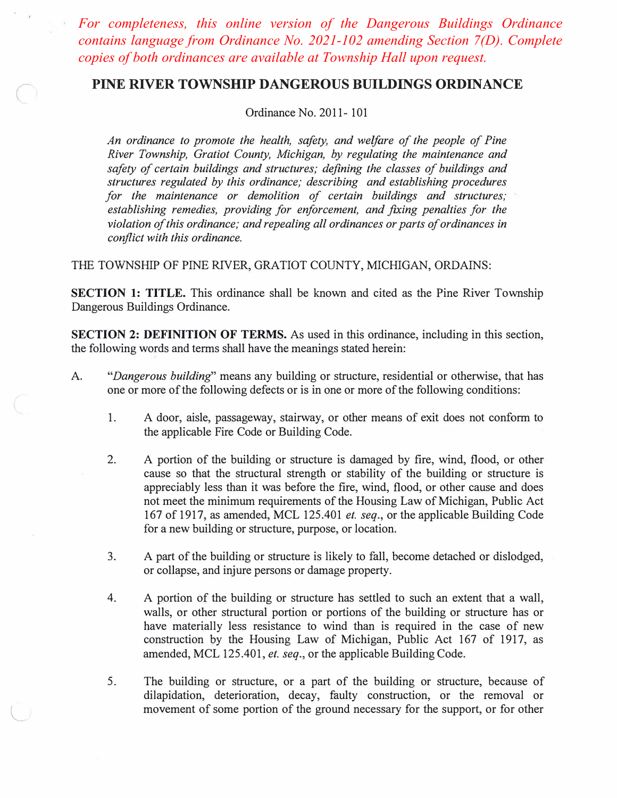*For completeness, this online version of the Dangerous Buildings Ordinance contains language from Ordinance No. 2021-102 amending Section 7(D). Complete copies of both ordinances are available at Township Hall upon request.*

# **PINE RIVER TOWNSHIP DANGEROUS BUILDINGS ORDINANCE**

Ordinance No. 2011- 101

*An ordinance to promote the health, safety, and welfare of the people of Pine River Township, Gratiot County, Michigan, by regulating the maintenance and safety of certain buildings and structures; defining the classes of buildings and structures regulated by this ordinance; describing and establishing procedures for the maintenance or demolition of certain buildings and structures; establishing remedies, providing for enforcement, and fixing penalties for the violation of this ordinance; and repealing all ordinances or parts of ordinances in conflict with this ordinance.* 

THE TOWNSHIP OF PINE RIVER, GRATIOT COUNTY, MICHIGAN, ORDAINS:

**SECTION 1: TITLE.** This ordinance shall be known and cited as the Pine River Township Dangerous Buildings Ordinance.

**SECTION 2: DEFINITION OF TERMS.** As used in this ordinance, including in this section, the following words and terms shall have the meanings stated herein:

- A. *"Dangerous building"* means any building or structure, residential or otherwise, that has one or more of the following defects or is in one or more of the following conditions:
	- 1. A door, aisle, passageway, stairway, or other means of exit does not conform to the applicable Fire Code or Building Code.
	- 2. A portion of the building or structure is damaged by fire, wind, flood, or other cause so that the structural strength or stability of the building or structure is appreciably less than it was before the fire, wind, flood, or other cause and does not meet the minimum requirements of the Housing Law of Michigan, Public Act 167 of 1917, as amended, MCL 125.401 *et. seq.,* or the applicable Building Code for a new building or structure, purpose, or location.
	- 3. A part of the building or structure is likely to fall, become detached or dislodged, or collapse, and injure persons or damage property.
	- 4. A portion of the building or structure has settled to such an extent that a wall, walls, or other structural portion or portions of the building or structure has or have materially less resistance to wind than is required in the case of new construction by the Housing Law of Michigan, Public Act 167 of 1917, as amended, MCL 125.401, *et. seq.,* or the applicable Building Code.
	- 5. The building or structure, or a part of the building or structure, because of dilapidation, deterioration, decay, faulty construction, or the removal or movement of some portion of the ground necessary for the support, or for other

 $\cup$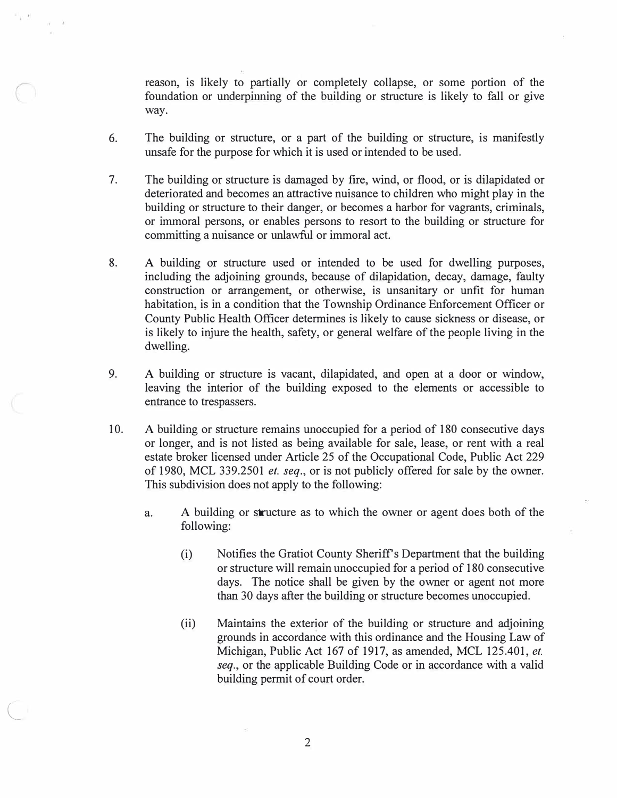reason, is likely to partially or completely collapse, or some portion of the foundation or underpinning of the building or structure is likely to fall or give way.

- 6. The building or structure, or a part of the building or structure, is manifestly unsafe for the purpose for which it is used or intended to be used.
- 7. The building or structure is damaged by fire, wind, or flood, or is dilapidated or deteriorated and becomes an attractive nuisance to children who might play in the building or structure to their danger, or becomes a harbor for vagrants, criminals, or immoral persons, or enables persons to resort to the building or structure for committing a nuisance or unlawful or immoral act.
- 8. A building or structure used or intended to be used for dwelling purposes, including the adjoining grounds, because of dilapidation, decay, damage, faulty construction or arrangement, or otherwise, is unsanitary or unfit for human habitation, is in a condition that the Township Ordinance Enforcement Officer or County Public Health Officer determines is likely to cause sickness or disease, or is likely to injure the health, safety, or general welfare of the people living in the dwelling.
- 9. A building or structure is vacant, dilapidated, and open at a door or window, leaving the interior of the building exposed to the elements or accessible to entrance to trespassers.
- 10. A building or structure remains unoccupied for a period of 180 consecutive days or longer, and is not listed as being available for sale, lease, or rent with a real estate broker licensed under Article 25 of the Occupational Code, Public Act 229 of 1980, MCL 339.2501 *et. seq.,* or is not publicly offered for sale by the owner. This subdivision does not apply to the following:
	- a. A building or structure as to which the owner or agent does both of the following:
		- (i) Notifies the Gratiot County Sheriff's Department that the building or structure will remain unoccupied for a period of 180 consecutive days. The notice shall be given by the owner or agent not more than 30 days after the building or structure becomes unoccupied.
		- (ii) Maintains the exterior of the building or structure and adjoining grounds in accordance with this ordinance and the Housing Law of Michigan, Public Act 167 of 1917, as amended, MCL 125.401, *et. seq.,* or the applicable Building Code or in accordance with a valid building permit of court order.

 $\subset$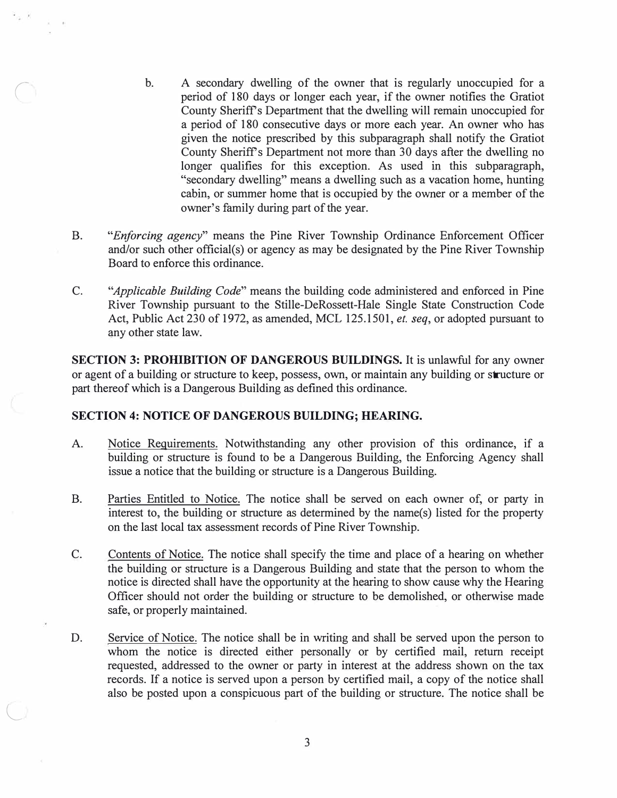- b. A secondary dwelling of the owner that is regularly unoccupied for a period of 180 days or longer each year, if the owner notifies the Gratiot County Sheriffs Department that the dwelling will remain unoccupied for a period of 180 consecutive days or more each year. An owner who has given the notice prescribed by this subparagraph shall notify the Gratiot County Sheriffs Department not more than 30 days after the dwelling no longer qualifies for this exception. As used in this subparagraph, "secondary dwelling" means a dwelling such as a vacation home, hunting cabin, or summer home that is occupied by the owner or a member of the owner's family during part of the year.
- B. *"Enforcing agency"* means the Pine River Township Ordinance Enforcement Officer and/or such other official(s) or agency as may be designated by the Pine River Township Board to enforce this ordinance.
- C. *"Applicable Building Code"* means the building code administered and enforced in Pine River Township pursuant to the Stille-DeRossett-Hale Single State Construction Code Act, Public Act 230 of 1972, as amended, MCL 125.1501, *et. seq,* or adopted pursuant to any other state law.

**SECTION 3: PROHIBITION OF DANGEROUS BUILDINGS.** It is unlawful for any owner or agent of a building or structure to keep, possess, own, or maintain any building or structure or part thereof which is a Dangerous Building as defined this ordinance.

#### **SECTION 4: NOTICE OF DANGEROUS BUILDING; HEARING.**

*(* 

L

- A. Notice Requirements. Notwithstanding any other provision of this ordinance, if a building or structure is found to be a Dangerous Building, the Enforcing Agency shall issue a notice that the building or structure is a Dangerous Building.
- B. Parties Entitled to Notice. The notice shall be served on each owner of, or party in interest to, the building or structure as determined by the name(s) listed for the property on the last local tax assessment records of Pine River Township.
- C. Contents of Notice. The notice shall specify the time and place of a hearing on whether the building or structure is a Dangerous Building and state that the person to whom the notice is directed shall have the opportunity at the hearing to show cause why the Hearing Officer should not order the building or structure to be demolished, or otherwise made safe, or properly maintained.
- D. Service of Notice. The notice shall be in writing and shall be served upon the person to whom the notice is directed either personally or by certified mail, return receipt requested, addressed to the owner or party in interest at the address shown on the tax records. If a notice is served upon a person by certified mail, a copy of the notice shall also be posted upon a conspicuous part of the building or structure. The notice shall be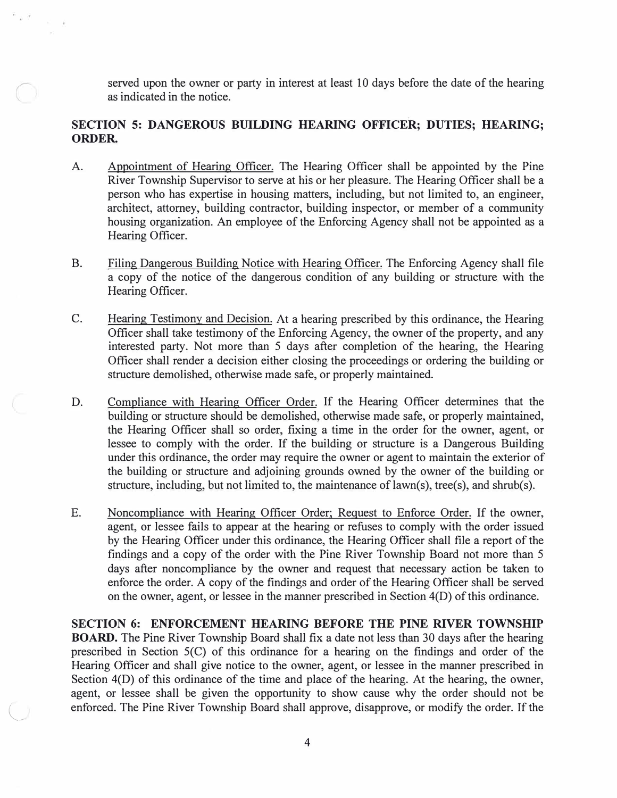served upon the owner or party in interest at least 10 days before the date of the hearing as indicated in the notice.

## **SECTION 5: DANGEROUS BUILDING HEARING OFFICER; DUTIES; HEARING; ORDER.**

- A. Appointment of Hearing Officer. The Hearing Officer shall be appointed by the Pine River Township Supervisor to serve at his or her pleasure. The Hearing Officer shall be a person who has expertise in housing matters, including, but not limited to, an engineer, architect, attorney, building contractor, building inspector, or member of a community housing organization. An employee of the Enforcing Agency shall not be appointed as a Hearing Officer.
- B. Filing Dangerous Building Notice with Hearing Officer. The Enforcing Agency shall file a copy of the notice of the dangerous condition of any building or structure with the Hearing Officer.
- C. Hearing Testimony and Decision. At a hearing prescribed by this ordinance, the Hearing Officer shall take testimony of the Enforcing Agency, the owner of the property, and any interested party. Not more than 5 days after completion of the hearing, the Hearing Officer shall render a decision either closing the proceedings or ordering the building or structure demolished, otherwise made safe, or properly maintained.
- D. Compliance with Hearing Officer Order. If the Hearing Officer determines that the building or structure should be demolished, otherwise made safe, or properly maintained, the Hearing Officer shall so order, fixing a time in the order for the owner, agent, or lessee to comply with the order. If the building or structure is a Dangerous Building under this ordinance, the order may require the owner or agent to maintain the exterior of the building or structure and adjoining grounds owned by the owner of the building or structure, including, but not limited to, the maintenance of  $lawn(s)$ , tree(s), and shrub(s).
- E. Noncompliance with Hearing Officer Order; Request to Enforce Order. If the owner, agent, or lessee fails to appear at the hearing or refuses to comply with the order issued by the Hearing Officer under this ordinance, the Hearing Officer shall file a report of the findings and a copy of the order with the Pine River Township Board not more than 5 days after noncompliance by the owner and request that necessary action be taken to enforce the order. A copy of the findings and order of the Hearing Officer shall be served on the owner, agent, or lessee in the manner prescribed in Section 4(D) of this ordinance.

**SECTION 6: ENFORCEMENT HEARING BEFORE THE PINE RIVER TOWNSHIP BOARD.** The Pine River Township Board shall fix a date not less than 30 days after the hearing prescribed in Section 5(C) of this ordinance for a hearing on the findings and order of the Hearing Officer and shall give notice to the owner, agent, or lessee in the manner prescribed in Section 4(D) of this ordinance of the time and place of the hearing. At the hearing, the owner, agent, or lessee shall be given the opportunity to show cause why the order should not be enforced. The Pine River Township Board shall approve, disapprove, or modify the order. If the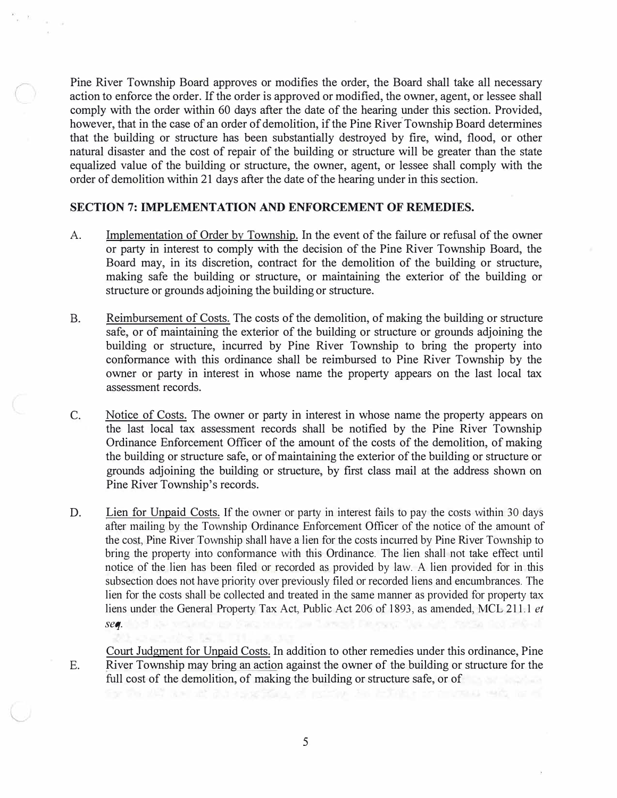Pine River Township Board approves or modifies the order, the Board shall take all necessary action to enforce the order. If the order is approved or modified, the owner, agent, or lessee shall comply with the order within 60 days after the date of the hearing under this section. Provided, however, that in the case of an order of demolition, if the Pine River Township Board determines that the building or structure has been substantially destroyed by fire, wind, flood, or other natural disaster and the cost of repair of the building or structure will be greater than the state equalized value of the building or structure, the owner, agent, or lessee shall comply with the order of demolition within 21 days after the date of the hearing under in this section.

## **SECTION 7: IMPLEMENTATION AND ENFORCEMENT OF REMEDIES.**

- A. Implementation of Order by Township. In the event of the failure or refusal of the owner or party in interest to comply with the decision of the Pine River Township Board, the Board may, in its discretion, contract for the demolition of the building or structure, making safe the building or structure, or maintaining the exterior of the building or structure or grounds adjoining the building or structure.
- B. Reimbursement of Costs. The costs of the demolition, of making the building or structure safe, or of maintaining the exterior of the building or structure or grounds adjoining the building or structure, incurred by Pine River Township to bring the property into conformance with this ordinance shall be reimbursed to Pine River Township by the owner or party in interest in whose name the property appears on the last local tax assessment records.
- C. Notice of Costs. The owner or party in interest in whose name the property appears on the last local tax assessment records shall be notified by the Pine River Township Ordinance Enforcement Officer of the amount of the costs of the demolition, of making the building or structure safe, or of maintaining the exterior of the building or structure or grounds adjoining the building or structure, by first class mail at the address shown on Pine River Township's records.
- D. Lien for Unpaid Costs. If the owner or party in interest fails to pay the costs within 30 days after mailing by the Township Ordinance Enforcement Officer of the notice of the amount of the cost, Pine River Township shall have a lien for the costs incurred by Pine River Township to bring the property into conformance with this Ordinance. The lien shall not take effect until notice of the lien has been filed or recorded as provided by law. A lien provided for in this subsection does not have priority over previously filed or recorded liens and encumbrances. The lien for the costs shall be collected and treated in the same manner as provided for property tax liens under the General Property Tax Act, Public Act 206 of 1893, as amended, MCL 211.1 *et seq.*
- E. Court Judgment for Unpaid Costs. In addition to other remedies under this ordinance, Pine River Township may bring an action against the owner of the building or structure for the full cost of the demolition, of making the building or structure safe, or of

5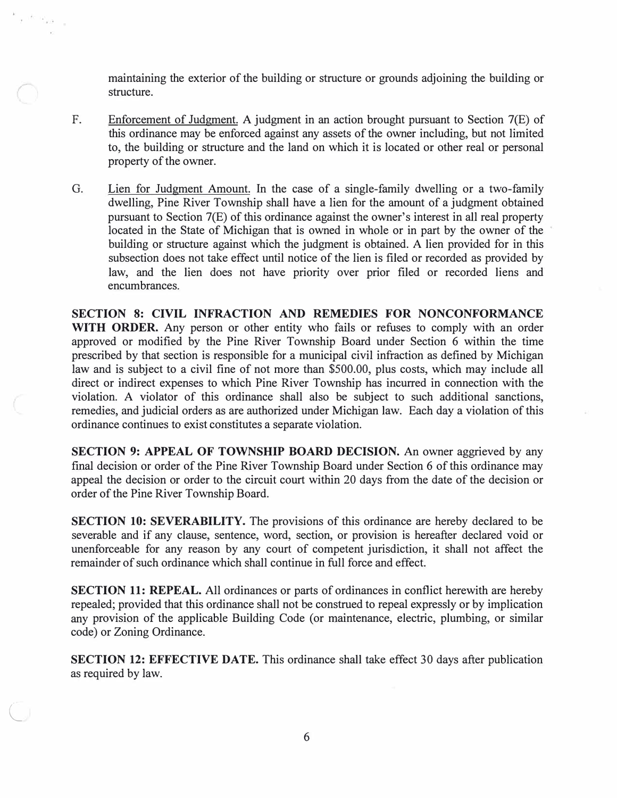maintaining the exterior of the building or structure or grounds adjoining the building or structure.

- F. Enforcement of Judgment. A judgment in an action brought pursuant to Section 7(E) of this ordinance may be enforced against any assets of the owner including, but not limited to, the building or structure and the land on which it is located or other real or personal property of the owner.
- G. Lien for Judgment Amount. In the case of a single-family dwelling or a two-family dwelling, Pine River Township shall have a lien for the amount of a judgment obtained pursuant to Section 7(E) of this ordinance against the owner's interest in all real property located in the State of Michigan that is owned in whole or in part by the owner of the building or structure against which the judgment is obtained. A lien provided for in this subsection does not take effect until notice of the lien is filed or recorded as provided by law, and the lien does not have priority over prior filed or recorded liens and encumbrances.

**SECTION 8: CIVIL INFRACTION AND REMEDIES FOR NONCONFORMANCE WITH ORDER.** Any person or other entity who fails or refuses to comply with an order approved or modified by the Pine River Township Board under Section 6 within the time prescribed by that section is responsible for a municipal civil infraction as defined by Michigan law and is subject to a civil fine of not more than \$500.00, plus costs, which may include all direct or indirect expenses to which Pine River Township has incurred in connection with the violation. A violator of this ordinance shall also be subject to such additional sanctions, remedies, and judicial orders as are authorized under Michigan law. Each day a violation of this ordinance continues to exist constitutes a separate violation.

**SECTION 9: APPEAL OF TOWNSHIP BOARD DECISION.** An owner aggrieved by any final decision or order of the Pine River Township Board under Section 6 of this ordinance may appeal the decision or order to the circuit court within 20 days from the date of the decision or order of the Pine River Township Board.

**SECTION 10: SEVERABILITY.** The provisions of this ordinance are hereby declared to be severable and if any clause, sentence, word, section, or provision is hereafter declared void or unenforceable for any reason by any court of competent jurisdiction, it shall not affect the remainder of such ordinance which shall continue in full force and effect.

**SECTION 11: REPEAL.** All ordinances or parts of ordinances in conflict herewith are hereby repealed; provided that this ordinance shall not be construed to repeal expressly or by implication any provision of the applicable Building Code (or maintenance, electric, plumbing, or similar code) or Zoning Ordinance.

**SECTION 12: EFFECTIVE DATE.** This ordinance shall take effect 30 days after publication as required by law.

 $\bigcirc$ 

 $\tau^{-1\ell(\cdot-\tau_{\mathbf{k}})}$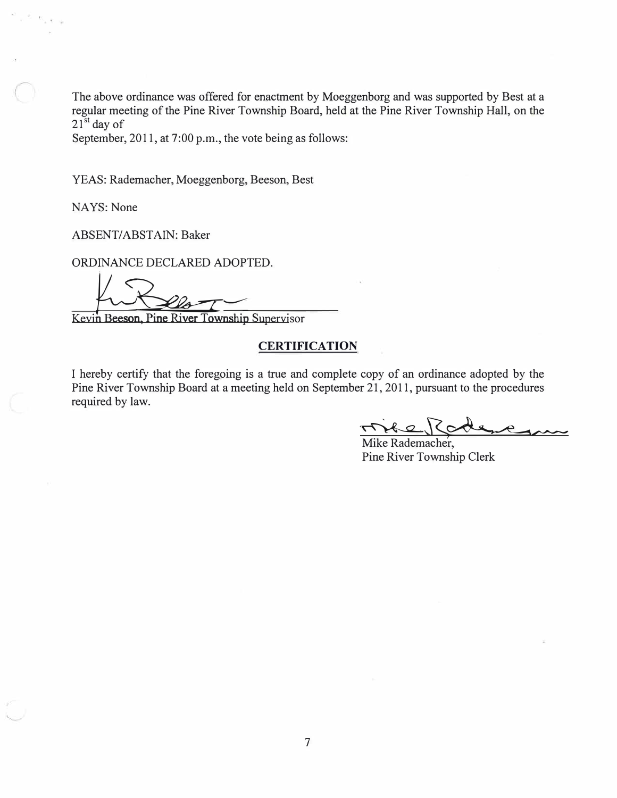The above ordinance was offered for enactment by Moeggenborg and was supported by Best at a regular meeting of the Pine River Township Board, held at the Pine River Township Hall, on the  $21<sup>st</sup>$  day of

September, 2011, at 7:00 p.m., the vote being as follows:

YEAS: Rademacher, Moeggenborg, Beeson, Best

NAYS: None

ABSENT/ABSTAIN: Baker

ORDINANCE DECLARED ADOPTED.

Kevin Beeson, Pine River Township Supervisor

#### **CERTIFICATION**

I hereby certify that the foregoing is a true and complete copy of an ordinance adopted by the Pine River Township Board at a meeting held on September 21, 2011, pursuant to the procedures required by law.

Mike Rademacher, Pine River Township Clerk